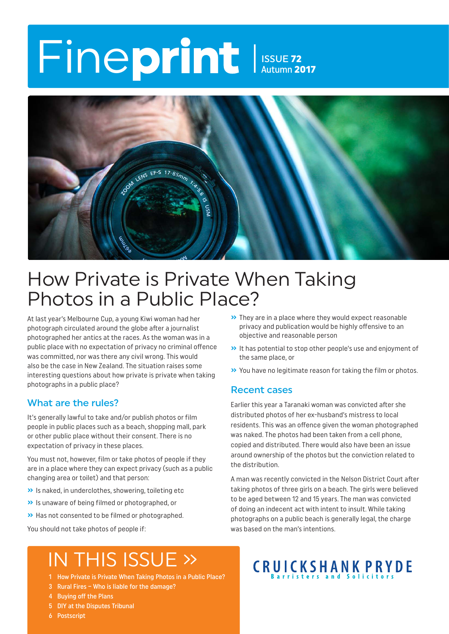# Fineprint ISSUE 72 Autumn 2017



### How Private is Private When Taking Photos in a Public Place?

At last year's Melbourne Cup, a young Kiwi woman had her photograph circulated around the globe after a journalist photographed her antics at the races. As the woman was in a public place with no expectation of privacy no criminal offence was committed, nor was there any civil wrong. This would also be the case in New Zealand. The situation raises some interesting questions about how private is private when taking photographs in a public place?

#### What are the rules?

It's generally lawful to take and/or publish photos or film people in public places such as a beach, shopping mall, park or other public place without their consent. There is no expectation of privacy in these places.

You must not, however, film or take photos of people if they are in a place where they can expect privacy (such as a public changing area or toilet) and that person:

- **»** Is naked, in underclothes, showering, toileting etc
- **»** Is unaware of being filmed or photographed, or
- **»** Has not consented to be filmed or photographed.

You should not take photos of people if:

#### **»** They are in a place where they would expect reasonable privacy and publication would be highly offensive to an objective and reasonable person

- **»** It has potential to stop other people's use and enjoyment of the same place, or
- **»** You have no legitimate reason for taking the film or photos.

#### Recent cases

Earlier this year a Taranaki woman was convicted after she distributed photos of her ex-husband's mistress to local residents. This was an offence given the woman photographed was naked. The photos had been taken from a cell phone, copied and distributed. There would also have been an issue around ownership of the photos but the conviction related to the distribution.

A man was recently convicted in the Nelson District Court after taking photos of three girls on a beach. The girls were believed to be aged between 12 and 15 years. The man was convicted of doing an indecent act with intent to insult. While taking photographs on a public beach is generally legal, the charge was based on the man's intentions.

## IN THIS ISSUE »

- 1 How Private is Private When Taking Photos in a Public Place?
- 3 Rural Fires Who is liable for the damage?
- 4 Buying off the Plans
- 5 DIY at the Disputes Tribunal
- 6 Postscript

# CRUICKSHANK PRYDE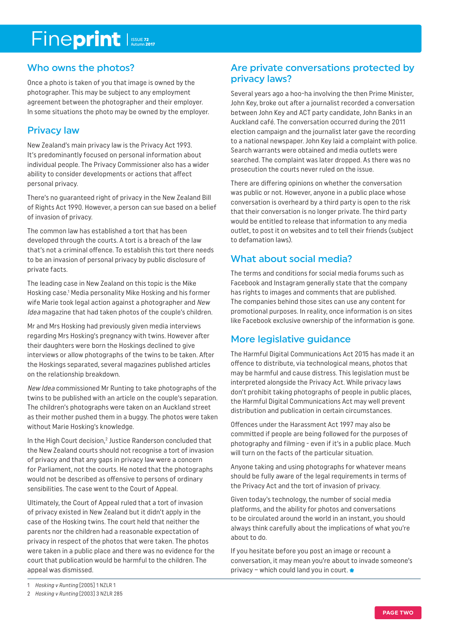# Fineprint Issue 72

### Who owns the photos?

Once a photo is taken of you that image is owned by the photographer. This may be subject to any employment agreement between the photographer and their employer. In some situations the photo may be owned by the employer.

### Privacy law

New Zealand's main privacy law is the Privacy Act 1993. It's predominantly focused on personal information about individual people. The Privacy Commissioner also has a wider ability to consider developments or actions that affect personal privacy.

There's no guaranteed right of privacy in the New Zealand Bill of Rights Act 1990. However, a person can sue based on a belief of invasion of privacy.

The common law has established a tort that has been developed through the courts. A tort is a breach of the law that's not a criminal offence. To establish this tort there needs to be an invasion of personal privacy by public disclosure of private facts.

The leading case in New Zealand on this topic is the Mike Hosking case.1 Media personality Mike Hosking and his former wife Marie took legal action against a photographer and New Idea magazine that had taken photos of the couple's children.

Mr and Mrs Hosking had previously given media interviews regarding Mrs Hosking's pregnancy with twins. However after their daughters were born the Hoskings declined to give interviews or allow photographs of the twins to be taken. After the Hoskings separated, several magazines published articles on the relationship breakdown.

New Idea commissioned Mr Runting to take photographs of the twins to be published with an article on the couple's separation. The children's photographs were taken on an Auckland street as their mother pushed them in a buggy. The photos were taken without Marie Hosking's knowledge.

In the High Court decision,<sup>2</sup> Justice Randerson concluded that the New Zealand courts should not recognise a tort of invasion of privacy and that any gaps in privacy law were a concern for Parliament, not the courts. He noted that the photographs would not be described as offensive to persons of ordinary sensibilities. The case went to the Court of Appeal.

Ultimately, the Court of Appeal ruled that a tort of invasion of privacy existed in New Zealand but it didn't apply in the case of the Hosking twins. The court held that neither the parents nor the children had a reasonable expectation of privacy in respect of the photos that were taken. The photos were taken in a public place and there was no evidence for the court that publication would be harmful to the children. The appeal was dismissed.

#### Are private conversations protected by privacy laws?

Several years ago a hoo-ha involving the then Prime Minister, John Key, broke out after a journalist recorded a conversation between John Key and ACT party candidate, John Banks in an Auckland café. The conversation occurred during the 2011 election campaign and the journalist later gave the recording to a national newspaper. John Key laid a complaint with police. Search warrants were obtained and media outlets were searched. The complaint was later dropped. As there was no prosecution the courts never ruled on the issue.

There are differing opinions on whether the conversation was public or not. However, anyone in a public place whose conversation is overheard by a third party is open to the risk that their conversation is no longer private. The third party would be entitled to release that information to any media outlet, to post it on websites and to tell their friends (subject to defamation laws).

### What about social media?

The terms and conditions for social media forums such as Facebook and Instagram generally state that the company has rights to images and comments that are published. The companies behind those sites can use any content for promotional purposes. In reality, once information is on sites like Facebook exclusive ownership of the information is gone.

### More legislative guidance

The Harmful Digital Communications Act 2015 has made it an offence to distribute, via technological means, photos that may be harmful and cause distress. This legislation must be interpreted alongside the Privacy Act. While privacy laws don't prohibit taking photographs of people in public places, the Harmful Digital Communications Act may well prevent distribution and publication in certain circumstances.

Offences under the Harassment Act 1997 may also be committed if people are being followed for the purposes of photography and filming - even if it's in a public place. Much will turn on the facts of the particular situation.

Anyone taking and using photographs for whatever means should be fully aware of the legal requirements in terms of the Privacy Act and the tort of invasion of privacy.

Given today's technology, the number of social media platforms, and the ability for photos and conversations to be circulated around the world in an instant, you should always think carefully about the implications of what you're about to do.

If you hesitate before you post an image or recount a conversation, it may mean you're about to invade someone's privacy – which could land you in court.

<sup>1</sup> Hosking v Runting [2005] 1 NZLR 1

<sup>2</sup> Hosking v Runting [2003] 3 NZLR 285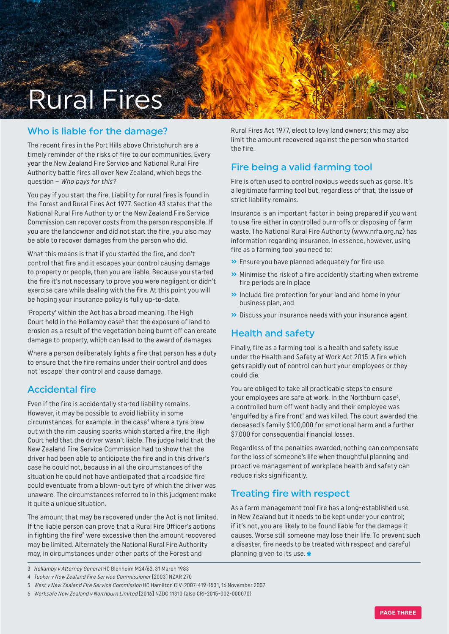

### Who is liable for the damage?

The recent fires in the Port Hills above Christchurch are a timely reminder of the risks of fire to our communities. Every year the New Zealand Fire Service and National Rural Fire Authority battle fires all over New Zealand, which begs the question – Who pays for this?

You pay if you start the fire. Liability for rural fires is found in the Forest and Rural Fires Act 1977. Section 43 states that the National Rural Fire Authority or the New Zealand Fire Service Commission can recover costs from the person responsible. If you are the landowner and did not start the fire, you also may be able to recover damages from the person who did.

What this means is that if you started the fire, and don't control that fire and it escapes your control causing damage to property or people, then you are liable. Because you started the fire it's not necessary to prove you were negligent or didn't exercise care while dealing with the fire. At this point you will be hoping your insurance policy is fully up-to-date.

'Property' within the Act has a broad meaning. The High Court held in the Hollamby case $3$  that the exposure of land to erosion as a result of the vegetation being burnt off can create damage to property, which can lead to the award of damages.

Where a person deliberately lights a fire that person has a duty to ensure that the fire remains under their control and does not 'escape' their control and cause damage.

### Accidental fire

Even if the fire is accidentally started liability remains. However, it may be possible to avoid liability in some circumstances, for example, in the case<sup>4</sup> where a tyre blew out with the rim causing sparks which started a fire, the High Court held that the driver wasn't liable. The judge held that the New Zealand Fire Service Commission had to show that the driver had been able to anticipate the fire and in this driver's case he could not, because in all the circumstances of the situation he could not have anticipated that a roadside fire could eventuate from a blown-out tyre of which the driver was unaware. The circumstances referred to in this judgment make it quite a unique situation.

The amount that may be recovered under the Act is not limited. If the liable person can prove that a Rural Fire Officer's actions in fighting the fire<sup>5</sup> were excessive then the amount recovered may be limited. Alternately the National Rural Fire Authority may, in circumstances under other parts of the Forest and

Rural Fires Act 1977, elect to levy land owners; this may also limit the amount recovered against the person who started the fire.

### Fire being a valid farming tool

Fire is often used to control noxious weeds such as gorse. It's a legitimate farming tool but, regardless of that, the issue of strict liability remains.

Insurance is an important factor in being prepared if you want to use fire either in controlled burn-offs or disposing of farm waste. The National Rural Fire Authority ([www.nrfa.org.nz](http://www.nrfa.org.nz)) has information regarding insurance. In essence, however, using fire as a farming tool you need to:

- **»** Ensure you have planned adequately for fire use
- **»** Minimise the risk of a fire accidently starting when extreme fire periods are in place
- **»** Include fire protection for your land and home in your business plan, and
- **»** Discuss your insurance needs with your insurance agent.

### Health and safety

Finally, fire as a farming tool is a health and safety issue under the Health and Safety at Work Act 2015. A fire which gets rapidly out of control can hurt your employees or they could die.

You are obliged to take all practicable steps to ensure your employees are safe at work. In the Northburn case<sup>6</sup>, a controlled burn off went badly and their employee was 'engulfed by a fire front' and was killed. The court awarded the deceased's family \$100,000 for emotional harm and a further \$7,000 for consequential financial losses.

Regardless of the penalties awarded, nothing can compensate for the loss of someone's life when thoughtful planning and proactive management of workplace health and safety can reduce risks significantly.

### Treating fire with respect

As a farm management tool fire has a long-established use in New Zealand but it needs to be kept under your control; if it's not, you are likely to be found liable for the damage it causes. Worse still someone may lose their life. To prevent such a disaster, fire needs to be treated with respect and careful planning given to its use.

- 3 Hollamby v Attorney General HC Blenheim M24/62, 31 March 1983
- 4 Tucker v New Zealand Fire Service Commissioner [2003] NZAR 270

6 Worksafe New Zealand v Northburn Limited [2016] NZDC 11310 (also CRI-2015-002-000070)

<sup>5</sup> West v New Zealand Fire Service Commission HC Hamilton CIV-2007-419-1531, 16 November 2007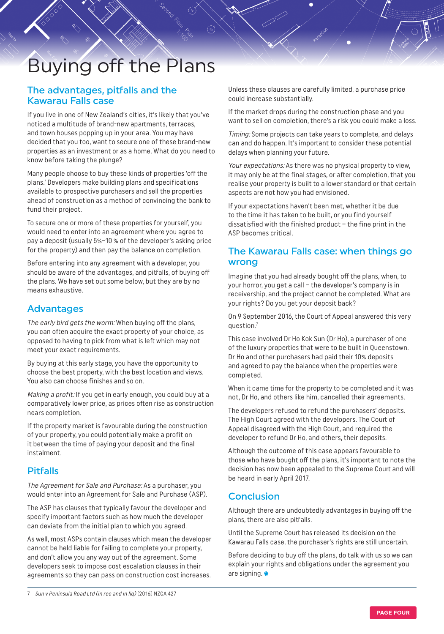# Buying off the Plans

#### The advantages, pitfalls and the Kawarau Falls case

If you live in one of New Zealand's cities, it's likely that you've noticed a multitude of brand-new apartments, terraces, and town houses popping up in your area. You may have decided that you too, want to secure one of these brand-new properties as an investment or as a home. What do you need to know before taking the plunge?

Many people choose to buy these kinds of properties 'off the plans.' Developers make building plans and specifications available to prospective purchasers and sell the properties ahead of construction as a method of convincing the bank to fund their project.

To secure one or more of these properties for yourself, you would need to enter into an agreement where you agree to pay a deposit (usually 5%–10 % of the developer's asking price for the property) and then pay the balance on completion.

Before entering into any agreement with a developer, you should be aware of the advantages, and pitfalls, of buying off the plans. We have set out some below, but they are by no means exhaustive.

#### Advantages

The early bird gets the worm: When buying off the plans, you can often acquire the exact property of your choice, as opposed to having to pick from what is left which may not meet your exact requirements.

By buying at this early stage, you have the opportunity to choose the best property, with the best location and views. You also can choose finishes and so on.

Making a profit: If you get in early enough, you could buy at a comparatively lower price, as prices often rise as construction nears completion.

If the property market is favourable during the construction of your property, you could potentially make a profit on it between the time of paying your deposit and the final instalment.

### Pitfalls

The Agreement for Sale and Purchase: As a purchaser, you would enter into an Agreement for Sale and Purchase (ASP).

The ASP has clauses that typically favour the developer and specify important factors such as how much the developer can deviate from the initial plan to which you agreed.

As well, most ASPs contain clauses which mean the developer cannot be held liable for failing to complete your property, and don't allow you any way out of the agreement. Some developers seek to impose cost escalation clauses in their agreements so they can pass on construction cost increases.

Unless these clauses are carefully limited, a purchase price could increase substantially.

If the market drops during the construction phase and you want to sell on completion, there's a risk you could make a loss.

Timing: Some projects can take years to complete, and delays can and do happen. It's important to consider these potential delays when planning your future.

Your expectations: As there was no physical property to view, it may only be at the final stages, or after completion, that you realise your property is built to a lower standard or that certain aspects are not how you had envisioned.

If your expectations haven't been met, whether it be due to the time it has taken to be built, or you find yourself dissatisfied with the finished product – the fine print in the ASP becomes critical.

#### The Kawarau Falls case: when things go wrong

Imagine that you had already bought off the plans, when, to your horror, you get a call – the developer's company is in receivership, and the project cannot be completed. What are your rights? Do you get your deposit back?

On 9 September 2016, the Court of Appeal answered this very question.7

This case involved Dr Ho Kok Sun (Dr Ho), a purchaser of one of the luxury properties that were to be built in Queenstown. Dr Ho and other purchasers had paid their 10% deposits and agreed to pay the balance when the properties were completed.

When it came time for the property to be completed and it was not, Dr Ho, and others like him, cancelled their agreements.

The developers refused to refund the purchasers' deposits. The High Court agreed with the developers. The Court of Appeal disagreed with the High Court, and required the developer to refund Dr Ho, and others, their deposits.

Although the outcome of this case appears favourable to those who have bought off the plans, it's important to note the decision has now been appealed to the Supreme Court and will be heard in early April 2017.

#### **Conclusion**

Although there are undoubtedly advantages in buying off the plans, there are also pitfalls.

Until the Supreme Court has released its decision on the Kawarau Falls case, the purchaser's rights are still uncertain.

Before deciding to buy off the plans, do talk with us so we can explain your rights and obligations under the agreement you are signing. \*

<sup>7</sup> Sun v Peninsula Road Ltd (in rec and in liq) [2016] NZCA 427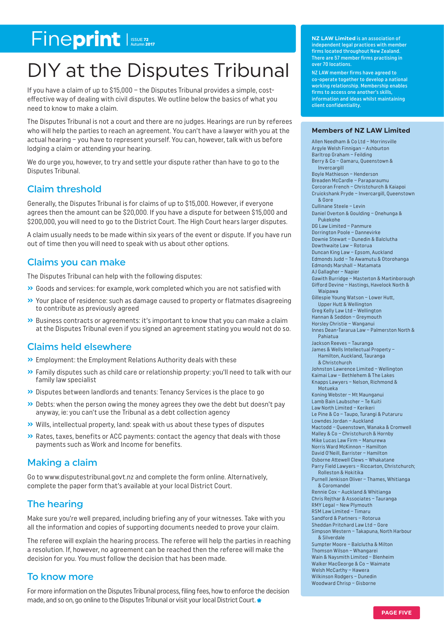# Fineprint Issue 72

# DIY at the Disputes Tribunal

If you have a claim of up to \$15,000 – the Disputes Tribunal provides a simple, costeffective way of dealing with civil disputes. We outline below the basics of what you need to know to make a claim.

The Disputes Tribunal is not a court and there are no judges. Hearings are run by referees who will help the parties to reach an agreement. You can't have a lawyer with you at the actual hearing – you have to represent yourself. You can, however, talk with us before lodging a claim or attending your hearing.

We do urge you, however, to try and settle your dispute rather than have to go to the Disputes Tribunal.

#### Claim threshold

Generally, the Disputes Tribunal is for claims of up to \$15,000. However, if everyone agrees then the amount can be \$20,000. If you have a dispute for between \$15,000 and \$200,000, you will need to go to the District Court. The High Court hears larger disputes.

A claim usually needs to be made within six years of the event or dispute. If you have run out of time then you will need to speak with us about other options.

#### Claims you can make

The Disputes Tribunal can help with the following disputes:

- **»** Goods and services: for example, work completed which you are not satisfied with
- **»** Your place of residence: such as damage caused to property or flatmates disagreeing to contribute as previously agreed
- **»** Business contracts or agreements: it's important to know that you can make a claim at the Disputes Tribunal even if you signed an agreement stating you would not do so.

#### Claims held elsewhere

- **»** Employment: the Employment Relations Authority deals with these
- **»** Family disputes such as child care or relationship property: you'll need to talk with our family law specialist
- **»** Disputes between landlords and tenants: Tenancy Services is the place to go
- **»** Debts: when the person owing the money agrees they owe the debt but doesn't pay anyway, ie: you can't use the Tribunal as a debt collection agency
- **»** Wills, intellectual property, land: speak with us about these types of disputes
- **»** Rates, taxes, benefits or ACC payments: contact the agency that deals with those payments such as Work and Income for benefits.

#### Making a claim

Go to [www.disputestribunal.govt.nz](https://disputestribunal.govt.nz/how-to-make-a-claim/apply-online/) and complete the form online. Alternatively, complete the paper form that's available at your local District Court.

### The hearing

Make sure you're well prepared, including briefing any of your witnesses. Take with you all the information and copies of supporting documents needed to prove your claim.

The referee will explain the hearing process. The referee will help the parties in reaching a resolution. If, however, no agreement can be reached then the referee will make the decision for you. You must follow the decision that has been made.

#### To know more

For more information on the Disputes Tribunal process, filing fees, how to enforce the decision made, and so on, go online to the Disputes Tribunal or visit your local District Court.

**NZ LAW Limited** is an association of independent legal practices with member firms located throughout New Zealand. There are 57 member firms practising in over 70 locations.

NZ LAW member firms have agreed to co-operate together to develop a national working relationship. Membership enables firms to access one another's skills, information and ideas whilst maintaining client confidentiality.

#### **Members of NZ LAW Limited**

Allen Needham & Co Ltd – Morrinsville Argyle Welsh Finnigan – Ashburton Barltrop Graham – Feilding Berry & Co – Oamaru, Queenstown & Invercargill Boyle Mathieson – Henderson Breaden McCardle – Paraparaumu Corcoran French – Christchurch & Kaiapoi Cruickshank Pryde – Invercargill, Queenstown & Gore Cullinane Steele – Levin Daniel Overton & Goulding – Onehunga & Pukekohe DG Law Limited – Panmure Dorrington Poole – Dannevirke Downie Stewart – Dunedin & Balclutha Dowthwaite Law – Rotorua Duncan King Law – Epsom, Aucklan d Edmonds Judd – Te Awamutu & Otorohanga Edmonds Marshall – Matamata AJ Gallagher – Napier Gawith Burridge – Masterton & Martinborough Gifford Devine – Hastings, Havelock North & Waipawa Gillespie Young Watson – Lower Hutt, Upper Hutt & Wellington Greg Kelly Law Ltd – Wellington Hannan & Seddon – Greymouth Horsley Christie – Wanganui Innes Dean-Tararua Law – Palmerston North & Pahiatua Jackson Reeves – Tauranga James & Wells Intellectual Property – Hamilton, Auckland, Tauranga & Christchurch Johnston Lawrence Limited – Wellington Kaimai Law – Bethlehem & The Lakes Knapps Lawyers – Nelson, Richmond & Motueka Koning Webster – Mt Maunganui Lamb Bain Laubscher – Te Kuiti Law North Limited – Kerikeri Le Pine & Co – Taupo, Turangi & Putaruru Lowndes Jordan – Auckland Mactodd – Queenstown, Wanaka & Cromwell Malley & Co – Christchurch & Hornby Mike Lucas Law Firm – Manurewa Norris Ward McKinnon – Hamilton David O'Neill, Barrister – Hamilton Osborne Attewell Clews – Whakatane Parry Field Lawyers – Riccarton, Christchurch; Rolleston & Hokitika Purnell Jenkison Oliver – Thames, Whitianga & Coromandel Rennie Cox – Auckland & Whitianga Chris Rejthar & Associates – Tauranga RMY Legal – New Plymouth RSM Law Limited – Timaru Sandford & Partners – Rotorua Sheddan Pritchard Law Ltd – Gore Simpson Western – Takapuna, North Harbour & Silverdale Sumpter Moore – Balclutha & Milton Thomson Wilson – Whangarei Wain & Naysmith Limited – Blenheim Walker MacGeorge & Co – Waimate Welsh McCarthy – Hawera Wilkinson Rodgers – Dunedin Woodward Chrisp – Gisborne